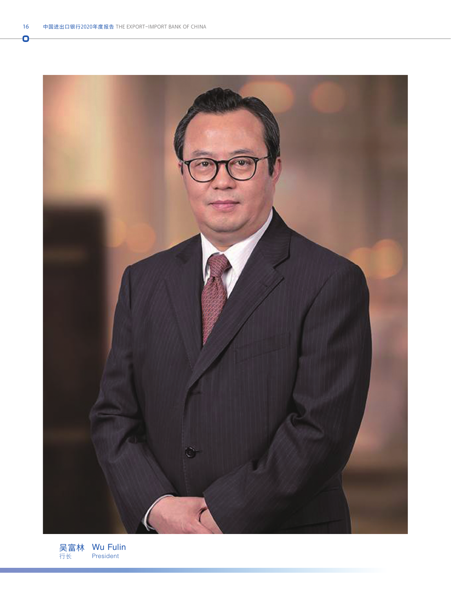Ō



吴富林 行长 Wu Fulin President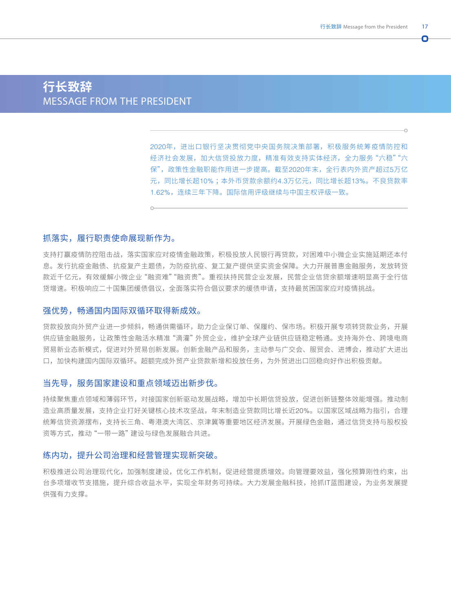o

# **行长致辞** MESSAGE FROM THE PRESIDENT

2020年,进出口银行坚决贯彻党中央国务院决策部署,积极服务统筹疫情防控和 经济社会发展,加大信贷投放力度,精准有效支持实体经济,全力服务"六稳""六 保",政策性金融职能作用进一步提高。截至2020年末,全行表内外资产超过5万亿 元,同比增长超10% ;本外币贷款余额约4.3万亿元,同比增长超13%。不良贷款率 1.62%,连续三年下降。国际信用评级继续与中国主权评级一致。

#### 抓落实,履行职责使命展现新作为。

支持打赢疫情防控阻击战,落实国家应对疫情金融政策,积极投放人民银行再贷款,对困难中小微企业实施延期还本付 息。发行抗疫金融债、抗疫复产主题债,为防疫抗疫、复工复产提供坚实资金保障。大力开展普惠金融服务,发放转贷 款近千亿元,有效缓解小微企业"融资难""融资贵"。重视扶持民营企业发展,民营企业信贷余额增速明显高于全行信 贷增速。积极响应二十国集团缓债倡议,全面落实符合倡议要求的缓债申请,支持最贫困国家应对疫情挑战。

#### 强优势,畅通国内国际双循环取得新成效。

贷款投放向外贸产业进一步倾斜,畅通供需循环,助力企业保订单、保履约、保市场。积极开展专项转贷款业务,开展 供应链金融服务,让政策性金融活水精准"滴灌"外贸企业,维护全球产业链供应链稳定畅通。支持海外仓、跨境电商 贸易新业态新模式,促进对外贸易创新发展。创新金融产品和服务,主动参与广交会、服贸会、进博会,推动扩大进出 口,加快构建国内国际双循环。超额完成外贸产业贷款新增和投放任务,为外贸进出口回稳向好作出积极贡献。

### 当先导,服务国家建设和重点领域迈出新步伐。

持续聚焦重点领域和薄弱环节,对接国家创新驱动发展战略,增加中长期信贷投放,促进创新链整体效能增强。推动制 造业高质量发展,支持企业打好关键核心技术攻坚战,年末制造业贷款同比增长近20%。以国家区域战略为指引,合理 统筹信贷资源摆布,支持长三角、粤港澳大湾区、京津冀等重要地区经济发展。开展绿色金融,通过信贷支持与股权投 资等方式,推动"一带一路"建设与绿色发展融合共进。

## 练内功,提升公司治理和经营管理实现新突破。

积极推进公司治理现代化,加强制度建设,优化工作机制,促进经营提质增效。向管理要效益,强化预算刚性约束,出 台多项增收节支措施,提升综合收益水平,实现全年财务可持续。大力发展金融科技,抢抓IT蓝图建设,为业务发展提 供强有力支撑。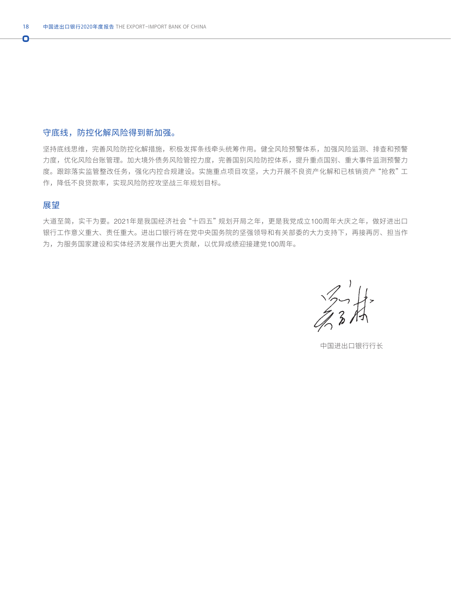# 守底线,防控化解风险得到新加强。

坚持底线思维,完善风险防控化解措施,积极发挥条线牵头统筹作用。健全风险预警体系,加强风险监测、排查和预警 力度,优化风险台账管理。加大境外债务风险管控力度,完善国别风险防控体系,提升重点国别、重大事件监测预警力 度。跟踪落实监管整改任务,强化内控合规建设。实施重点项目攻坚,大力开展不良资产化解和已核销资产"抢救"工 作,降低不良贷款率,实现风险防控攻坚战三年规划目标。

# 展望

Ō

大道至简,实干为要。2021年是我国经济社会"十四五"规划开局之年,更是我党成立100周年大庆之年,做好进出口 银行工作意义重大、责任重大。进出口银行将在党中央国务院的坚强领导和有关部委的大力支持下,再接再厉、担当作 为,为服务国家建设和实体经济发展作出更大贡献,以优异成绩迎接建党100周年。

 $\frac{1}{2}$  ,  $\frac{1}{4}$ 

中国进出口银行行长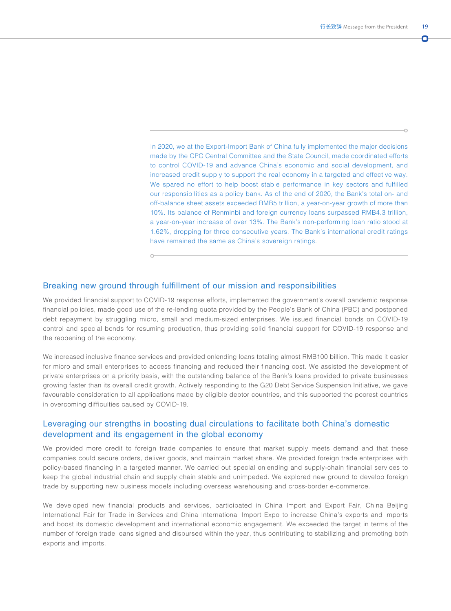n

In 2020, we at the Export-Import Bank of China fully implemented the major decisions made by the CPC Central Committee and the State Council, made coordinated efforts to control COVID-19 and advance China's economic and social development, and increased credit supply to support the real economy in a targeted and effective way. We spared no effort to help boost stable performance in key sectors and fulfilled our responsibilities as a policy bank. As of the end of 2020, the Bank's total on- and off-balance sheet assets exceeded RMB5 trillion, a year-on-year growth of more than 10%. Its balance of Renminbi and foreign currency loans surpassed RMB4.3 trillion, a year-on-year increase of over 13%. The Bank's non-performing loan ratio stood at 1.62%, dropping for three consecutive years. The Bank's international credit ratings have remained the same as China's sovereign ratings.

## Breaking new ground through fulfillment of our mission and responsibilities

 $\circ$ 

We provided financial support to COVID-19 response efforts, implemented the government's overall pandemic response financial policies, made good use of the re-lending quota provided by the People's Bank of China (PBC) and postponed debt repayment by struggling micro, small and medium-sized enterprises. We issued financial bonds on COVID-19 control and special bonds for resuming production, thus providing solid financial support for COVID-19 response and the reopening of the economy.

We increased inclusive finance services and provided onlending loans totaling almost RMB100 billion. This made it easier for micro and small enterprises to access financing and reduced their financing cost. We assisted the development of private enterprises on a priority basis, with the outstanding balance of the Bank's loans provided to private businesses growing faster than its overall credit growth. Actively responding to the G20 Debt Service Suspension Initiative, we gave favourable consideration to all applications made by eligible debtor countries, and this supported the poorest countries in overcoming difficulties caused by COVID-19.

## Leveraging our strengths in boosting dual circulations to facilitate both China's domestic development and its engagement in the global economy

We provided more credit to foreign trade companies to ensure that market supply meets demand and that these companies could secure orders, deliver goods, and maintain market share. We provided foreign trade enterprises with policy-based financing in a targeted manner. We carried out special onlending and supply-chain financial services to keep the global industrial chain and supply chain stable and unimpeded. We explored new ground to develop foreign trade by supporting new business models including overseas warehousing and cross-border e-commerce.

We developed new financial products and services, participated in China Import and Export Fair, China Beijing International Fair for Trade in Services and China International Import Expo to increase China's exports and imports and boost its domestic development and international economic engagement. We exceeded the target in terms of the number of foreign trade loans signed and disbursed within the year, thus contributing to stabilizing and promoting both exports and imports.